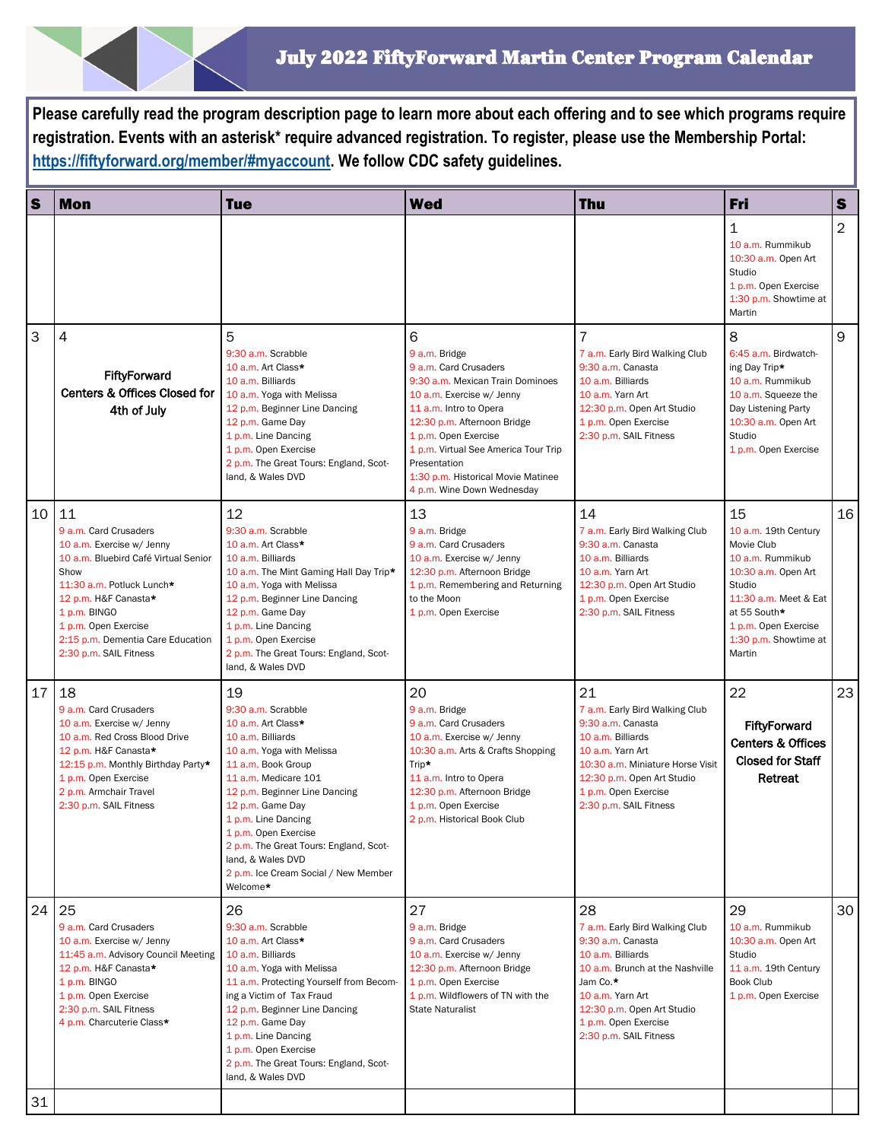**Please carefully read the program description page to learn more about each offering and to see which programs require registration. Events with an asterisk\* require advanced registration. To register, please use the Membership Portal: [https://fiftyforward.org/member/#myaccount.](https://fiftyforward.org/member/#myaccount) We follow CDC safety guidelines.** 

| S  | <b>Mon</b>                                                                                                                                                                                                                                                           | <b>Tue</b>                                                                                                                                                                                                                                                                                                                                                            | <b>Wed</b>                                                                                                                                                                                                                                                                                                                | <b>Thu</b>                                                                                                                                                                                                                        | <b>Fri</b>                                                                                                                                                                                        | $\mathbf s$    |
|----|----------------------------------------------------------------------------------------------------------------------------------------------------------------------------------------------------------------------------------------------------------------------|-----------------------------------------------------------------------------------------------------------------------------------------------------------------------------------------------------------------------------------------------------------------------------------------------------------------------------------------------------------------------|---------------------------------------------------------------------------------------------------------------------------------------------------------------------------------------------------------------------------------------------------------------------------------------------------------------------------|-----------------------------------------------------------------------------------------------------------------------------------------------------------------------------------------------------------------------------------|---------------------------------------------------------------------------------------------------------------------------------------------------------------------------------------------------|----------------|
|    |                                                                                                                                                                                                                                                                      |                                                                                                                                                                                                                                                                                                                                                                       |                                                                                                                                                                                                                                                                                                                           |                                                                                                                                                                                                                                   | 1<br>10 a.m. Rummikub<br>10:30 a.m. Open Art<br>Studio<br>1 p.m. Open Exercise<br>1:30 p.m. Showtime at<br>Martin                                                                                 | $\overline{2}$ |
| 3  | 4<br>FiftyForward<br><b>Centers &amp; Offices Closed for</b><br>4th of July                                                                                                                                                                                          | 5<br>9:30 a.m. Scrabble<br>10 a.m. Art Class*<br>10 a.m. Billiards<br>10 a.m. Yoga with Melissa<br>12 p.m. Beginner Line Dancing<br>12 p.m. Game Day<br>1 p.m. Line Dancing<br>1 p.m. Open Exercise<br>2 p.m. The Great Tours: England, Scot-<br>land, & Wales DVD                                                                                                    | 6<br>9 a.m. Bridge<br>9 a.m. Card Crusaders<br>9:30 a.m. Mexican Train Dominoes<br>10 a.m. Exercise w/ Jenny<br>11 a.m. Intro to Opera<br>12:30 p.m. Afternoon Bridge<br>1 p.m. Open Exercise<br>1 p.m. Virtual See America Tour Trip<br>Presentation<br>1:30 p.m. Historical Movie Matinee<br>4 p.m. Wine Down Wednesday | $\overline{7}$<br>7 a.m. Early Bird Walking Club<br>9:30 a.m. Canasta<br>10 a.m. Billiards<br>10 a.m. Yarn Art<br>12:30 p.m. Open Art Studio<br>1 p.m. Open Exercise<br>2:30 p.m. SAIL Fitness                                    | 8<br>6:45 a.m. Birdwatch-<br>ing Day Trip*<br>10 a.m. Rummikub<br>10 a.m. Squeeze the<br>Day Listening Party<br>10:30 a.m. Open Art<br>Studio<br>1 p.m. Open Exercise                             | 9              |
| 10 | 11<br>9 a.m. Card Crusaders<br>10 a.m. Exercise w/ Jenny<br>10 a.m. Bluebird Café Virtual Senior<br>Show<br>11:30 a.m. Potluck Lunch*<br>12 p.m. H&F Canasta*<br>1 p.m. BINGO<br>1 p.m. Open Exercise<br>2:15 p.m. Dementia Care Education<br>2:30 p.m. SAIL Fitness | 12<br>9:30 a.m. Scrabble<br>10 a.m. Art Class*<br>10 a.m. Billiards<br>10 a.m. The Mint Gaming Hall Day Trip*<br>10 a.m. Yoga with Melissa<br>12 p.m. Beginner Line Dancing<br>12 p.m. Game Day<br>1 p.m. Line Dancing<br>1 p.m. Open Exercise<br>2 p.m. The Great Tours: England, Scot-<br>land, & Wales DVD                                                         | 13<br>9 a.m. Bridge<br>9 a.m. Card Crusaders<br>10 a.m. Exercise w/ Jenny<br>12:30 p.m. Afternoon Bridge<br>1 p.m. Remembering and Returning<br>to the Moon<br>1 p.m. Open Exercise                                                                                                                                       | 14<br>7 a.m. Early Bird Walking Club<br>9:30 a.m. Canasta<br>10 a.m. Billiards<br>10 a.m. Yarn Art<br>12:30 p.m. Open Art Studio<br>1 p.m. Open Exercise<br>2:30 p.m. SAIL Fitness                                                | 15<br>10 a.m. 19th Century<br>Movie Club<br>10 a.m. Rummikub<br>10:30 a.m. Open Art<br>Studio<br>11:30 a.m. Meet & Eat<br>at 55 South*<br>1 p.m. Open Exercise<br>1:30 p.m. Showtime at<br>Martin | 16             |
| 17 | 18<br>9 a.m. Card Crusaders<br>10 a.m. Exercise w/ Jenny<br>10 a.m. Red Cross Blood Drive<br>12 p.m. H&F Canasta*<br>12:15 p.m. Monthly Birthday Party*<br>1 p.m. Open Exercise<br>2 p.m. Armchair Travel<br>2:30 p.m. SAIL Fitness                                  | 19<br>9:30 a.m. Scrabble<br>10 a.m. Art Class*<br>10 a.m. Billiards<br>10 a.m. Yoga with Melissa<br>11 a.m. Book Group<br>11 a.m. Medicare 101<br>12 p.m. Beginner Line Dancing<br>12 p.m. Game Day<br>1 p.m. Line Dancing<br>1 p.m. Open Exercise<br>2 p.m. The Great Tours: England, Scot-<br>land. & Wales DVD<br>2 p.m. Ice Cream Social / New Member<br>Welcome* | 20<br>9 a.m. Bridge<br>9 a.m. Card Crusaders<br>10 a.m. Exercise w/ Jenny<br>10:30 a.m. Arts & Crafts Shopping<br>Trip*<br>11 a.m. Intro to Opera<br>12:30 p.m. Afternoon Bridge<br>1 p.m. Open Exercise<br>2 p.m. Historical Book Club                                                                                   | 21<br>7 a.m. Early Bird Walking Club<br>9:30 a.m. Canasta<br>10 a.m. Billiards<br>10 a.m. Yarn Art<br>10:30 a.m. Miniature Horse Visit<br>12:30 p.m. Open Art Studio<br>1 p.m. Open Exercise<br>2:30 p.m. SAIL Fitness            | 22<br><b>FiftyForward</b><br><b>Centers &amp; Offices</b><br><b>Closed for Staff</b><br>Retreat                                                                                                   | 23             |
| 24 | 25<br>9 a.m. Card Crusaders<br>10 a.m. Exercise w/ Jenny<br>11:45 a.m. Advisory Council Meeting<br>12 p.m. H&F Canasta*<br>1 p.m. BINGO<br>1 p.m. Open Exercise<br>2:30 p.m. SAIL Fitness<br>4 p.m. Charcuterie Class*                                               | 26<br>9:30 a.m. Scrabble<br>10 a.m. Art Class*<br>10 a.m. Billiards<br>10 a.m. Yoga with Melissa<br>11 a.m. Protecting Yourself from Becom-<br>ing a Victim of Tax Fraud<br>12 p.m. Beginner Line Dancing<br>12 p.m. Game Day<br>1 p.m. Line Dancing<br>1 p.m. Open Exercise<br>2 p.m. The Great Tours: England, Scot-<br>land, & Wales DVD                           | 27<br>9 a.m. Bridge<br>9 a.m. Card Crusaders<br>10 a.m. Exercise w/ Jenny<br>12:30 p.m. Afternoon Bridge<br>1 p.m. Open Exercise<br>1 p.m. Wildflowers of TN with the<br><b>State Naturalist</b>                                                                                                                          | 28<br>7 a.m. Early Bird Walking Club<br>9:30 a.m. Canasta<br>10 a.m. Billiards<br>10 a.m. Brunch at the Nashville<br>Jam Co.*<br>10 a.m. Yarn Art<br>12:30 p.m. Open Art Studio<br>1 p.m. Open Exercise<br>2:30 p.m. SAIL Fitness | 29<br>10 a.m. Rummikub<br>10:30 a.m. Open Art<br>Studio<br>11 a.m. 19th Century<br><b>Book Club</b><br>1 p.m. Open Exercise                                                                       | 30             |
| 31 |                                                                                                                                                                                                                                                                      |                                                                                                                                                                                                                                                                                                                                                                       |                                                                                                                                                                                                                                                                                                                           |                                                                                                                                                                                                                                   |                                                                                                                                                                                                   |                |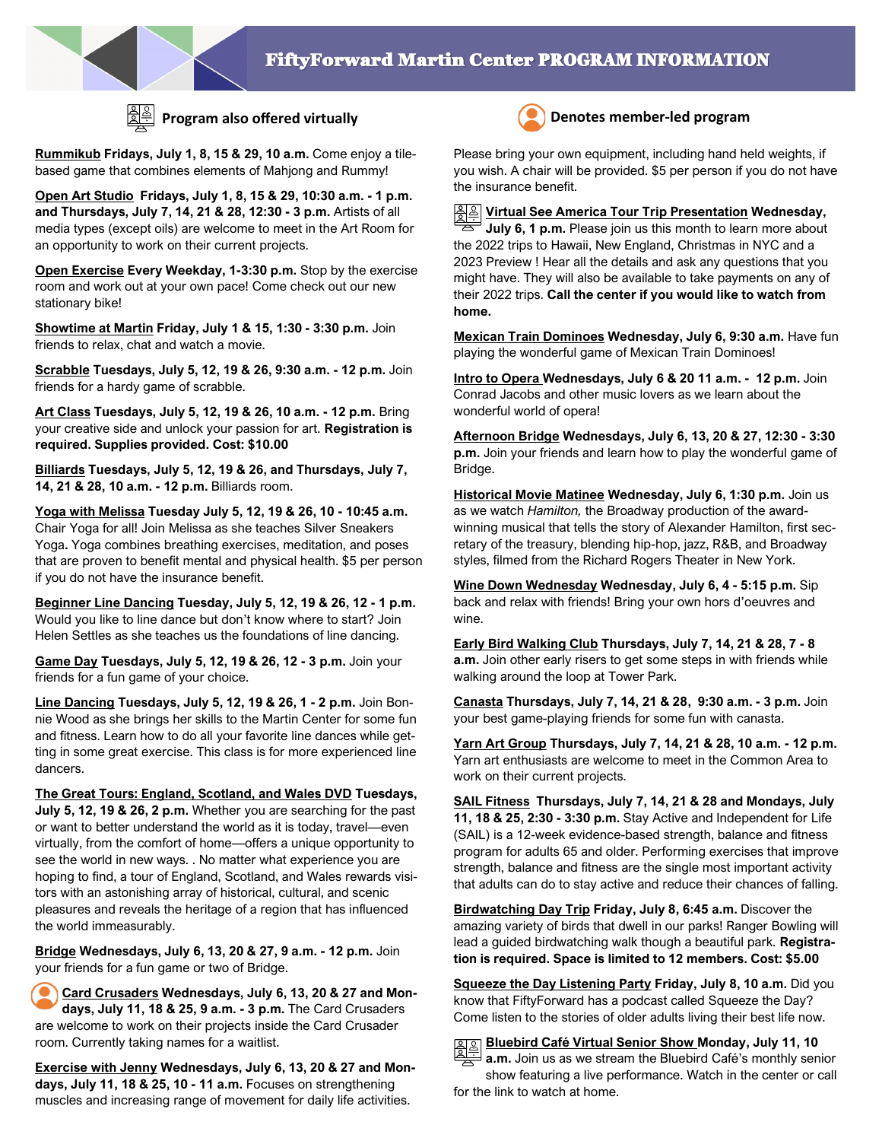

**Rummikub Fridays, July 1, 8, 15 & 29, 10 a.m.** Come enjoy a tilebased game that combines elements of Mahjong and Rummy!

**Open Art Studio Fridays, July 1, 8, 15 & 29, 10:30 a.m. - 1 p.m. and Thursdays, July 7, 14, 21 & 28, 12:30 - 3 p.m.** Artists of all media types (except oils) are welcome to meet in the Art Room for an opportunity to work on their current projects.

**Open Exercise Every Weekday, 1-3:30 p.m.** Stop by the exercise room and work out at your own pace! Come check out our new stationary bike!

**Showtime at Martin Friday, July 1 & 15, 1:30 - 3:30 p.m.** Join friends to relax, chat and watch a movie.

**Scrabble Tuesdays, July 5, 12, 19 & 26, 9:30 a.m. - 12 p.m.** Join friends for a hardy game of scrabble.

**Art Class Tuesdays, July 5, 12, 19 & 26, 10 a.m. - 12 p.m.** Bring your creative side and unlock your passion for art. **Registration is required. Supplies provided. Cost: \$10.00** 

**Billiards Tuesdays, July 5, 12, 19 & 26, and Thursdays, July 7, 14, 21 & 28, 10 a.m. - 12 p.m.** Billiards room.

**Yoga with Melissa Tuesday July 5, 12, 19 & 26, 10 - 10:45 a.m.**  Chair Yoga for all! Join Melissa as she teaches Silver Sneakers Yoga**.** Yoga combines breathing exercises, meditation, and poses that are proven to benefit mental and physical health. \$5 per person if you do not have the insurance benefit.

**Beginner Line Dancing Tuesday, July 5, 12, 19 & 26, 12 - 1 p.m.**  Would you like to line dance but don't know where to start? Join Helen Settles as she teaches us the foundations of line dancing.

**Game Day Tuesdays, July 5, 12, 19 & 26, 12 - 3 p.m.** Join your friends for a fun game of your choice.

**Line Dancing Tuesdays, July 5, 12, 19 & 26, 1 - 2 p.m.** Join Bonnie Wood as she brings her skills to the Martin Center for some fun and fitness. Learn how to do all your favorite line dances while getting in some great exercise. This class is for more experienced line dancers.

**The Great Tours: England, Scotland, and Wales DVD Tuesdays, July 5, 12, 19 & 26, 2 p.m.** Whether you are searching for the past or want to better understand the world as it is today, travel—even virtually, from the comfort of home—offers a unique opportunity to see the world in new ways. . No matter what experience you are hoping to find, a tour of England, Scotland, and Wales rewards visitors with an astonishing array of historical, cultural, and scenic pleasures and reveals the heritage of a region that has influenced the world immeasurably.

**Bridge Wednesdays, July 6, 13, 20 & 27, 9 a.m. - 12 p.m.** Join your friends for a fun game or two of Bridge.

**Card Crusaders Wednesdays, July 6, 13, 20 & 27 and Mondays, July 11, 18 & 25, 9 a.m. - 3 p.m.** The Card Crusaders are welcome to work on their projects inside the Card Crusader room. Currently taking names for a waitlist.

**Exercise with Jenny Wednesdays, July 6, 13, 20 & 27 and Mondays, July 11, 18 & 25, 10 - 11 a.m.** Focuses on strengthening muscles and increasing range of movement for daily life activities.



## **Program also offered virtually Denotes member-led program**

Please bring your own equipment, including hand held weights, if you wish. A chair will be provided. \$5 per person if you do not have the insurance benefit.

**Virtual See America Tour Trip Presentation Wednesday, July 6, 1 p.m.** Please join us this month to learn more about the 2022 trips to Hawaii, New England, Christmas in NYC and a 2023 Preview ! Hear all the details and ask any questions that you might have. They will also be available to take payments on any of their 2022 trips. **Call the center if you would like to watch from home.**

**Mexican Train Dominoes Wednesday, July 6, 9:30 a.m.** Have fun playing the wonderful game of Mexican Train Dominoes!

**Intro to Opera Wednesdays, July 6 & 20 11 a.m. - 12 p.m.** Join Conrad Jacobs and other music lovers as we learn about the wonderful world of opera!

**Afternoon Bridge Wednesdays, July 6, 13, 20 & 27, 12:30 - 3:30 p.m.** Join your friends and learn how to play the wonderful game of Bridge.

**Historical Movie Matinee Wednesday, July 6, 1:30 p.m.** Join us as we watch *Hamilton,* the Broadway production of the awardwinning musical that tells the story of Alexander Hamilton, first secretary of the treasury, blending hip-hop, jazz, R&B, and Broadway styles, filmed from the Richard Rogers Theater in New York.

**Wine Down Wednesday Wednesday, July 6, 4 - 5:15 p.m.** Sip back and relax with friends! Bring your own hors d'oeuvres and wine.

**Early Bird Walking Club Thursdays, July 7, 14, 21 & 28, 7 - 8 a.m.** Join other early risers to get some steps in with friends while walking around the loop at Tower Park.

**Canasta Thursdays, July 7, 14, 21 & 28, 9:30 a.m. - 3 p.m.** Join your best game-playing friends for some fun with canasta.

**Yarn Art Group Thursdays, July 7, 14, 21 & 28, 10 a.m. - 12 p.m.**  Yarn art enthusiasts are welcome to meet in the Common Area to work on their current projects.

**SAIL Fitness Thursdays, July 7, 14, 21 & 28 and Mondays, July 11, 18 & 25, 2:30 - 3:30 p.m.** Stay Active and Independent for Life (SAIL) is a 12-week evidence-based strength, balance and fitness program for adults 65 and older. Performing exercises that improve strength, balance and fitness are the single most important activity that adults can do to stay active and reduce their chances of falling.

**Birdwatching Day Trip Friday, July 8, 6:45 a.m.** Discover the amazing variety of birds that dwell in our parks! Ranger Bowling will lead a guided birdwatching walk though a beautiful park. **Registration is required. Space is limited to 12 members. Cost: \$5.00** 

**Squeeze the Day Listening Party Friday, July 8, 10 a.m.** Did you know that FiftyForward has a podcast called Squeeze the Day? Come listen to the stories of older adults living their best life now.

**Bluebird Café Virtual Senior Show Monday, July 11, 10** 

**a.m.** Join us as we stream the Bluebird Café's monthly senior show featuring a live performance. Watch in the center or call for the link to watch at home.